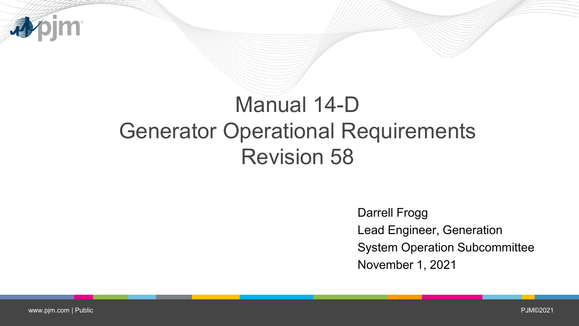

# Manual 14-D Generator Operational Requirements Revision 58

Darrell Frogg Lead Engineer, Generation System Operation Subcommittee November 1, 2021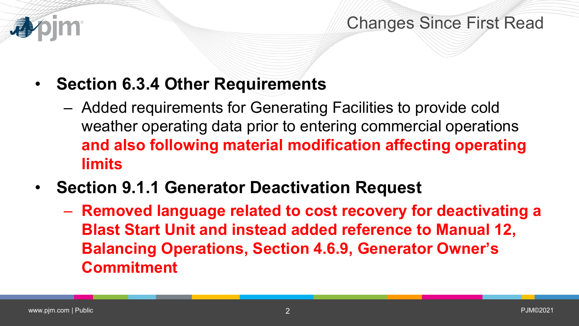

Changes Since First Read

- **Section 6.3.4 Other Requirements**
	- Added requirements for Generating Facilities to provide cold weather operating data prior to entering commercial operations **and also following material modification affecting operating limits**
- **Section 9.1.1 Generator Deactivation Request**
	- **Removed language related to cost recovery for deactivating a Blast Start Unit and instead added reference to Manual 12, Balancing Operations, Section 4.6.9, Generator Owner's Commitment**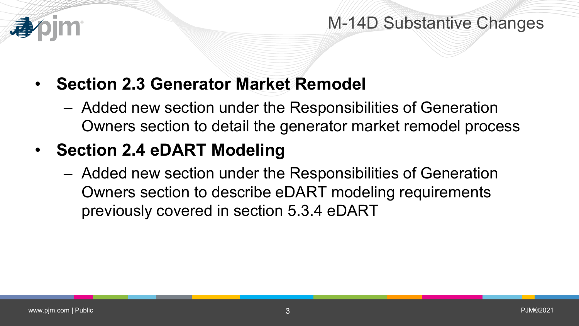

#### M-14D Substantive Changes

- **Section 2.3 Generator Market Remodel**
	- Added new section under the Responsibilities of Generation Owners section to detail the generator market remodel process
- **Section 2.4 eDART Modeling**
	- Added new section under the Responsibilities of Generation Owners section to describe eDART modeling requirements previously covered in section 5.3.4 eDART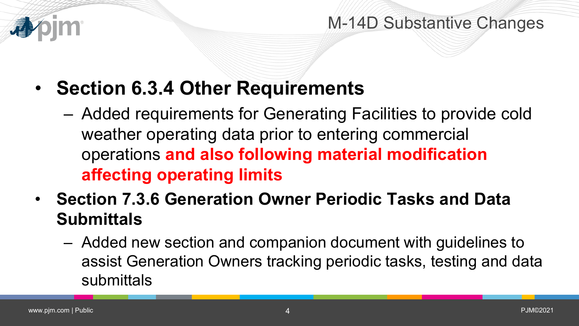

#### M-14D Substantive Changes

- **Section 6.3.4 Other Requirements**
	- Added requirements for Generating Facilities to provide cold weather operating data prior to entering commercial operations **and also following material modification affecting operating limits**
- **Section 7.3.6 Generation Owner Periodic Tasks and Data Submittals**
	- Added new section and companion document with guidelines to assist Generation Owners tracking periodic tasks, testing and data submittals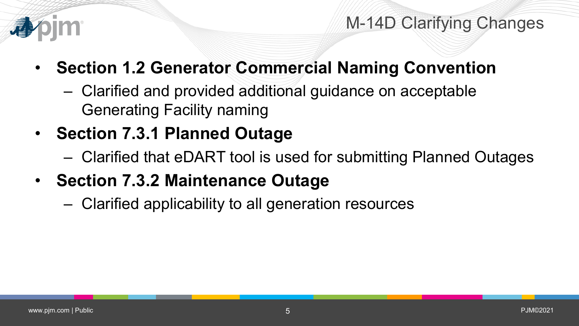

- **Section 1.2 Generator Commercial Naming Convention**
	- Clarified and provided additional guidance on acceptable Generating Facility naming
- **Section 7.3.1 Planned Outage**
	- Clarified that eDART tool is used for submitting Planned Outages
- **Section 7.3.2 Maintenance Outage**
	- Clarified applicability to all generation resources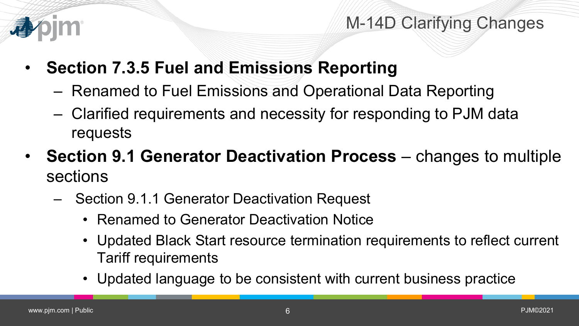

- **Section 7.3.5 Fuel and Emissions Reporting**
	- Renamed to Fuel Emissions and Operational Data Reporting
	- Clarified requirements and necessity for responding to PJM data requests
- **Section 9.1 Generator Deactivation Process** changes to multiple sections
	- Section 9.1.1 Generator Deactivation Request
		- Renamed to Generator Deactivation Notice
		- Updated Black Start resource termination requirements to reflect current Tariff requirements
		- Updated language to be consistent with current business practice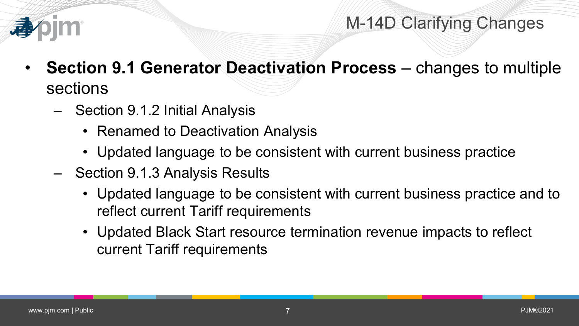

- **Section 9.1 Generator Deactivation Process**  changes to multiple sections
	- Section 9.1.2 Initial Analysis
		- Renamed to Deactivation Analysis
		- Updated language to be consistent with current business practice
	- Section 9.1.3 Analysis Results
		- Updated language to be consistent with current business practice and to reflect current Tariff requirements
		- Updated Black Start resource termination revenue impacts to reflect current Tariff requirements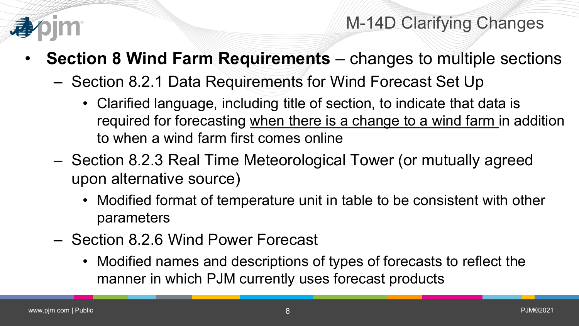

- **Section 8 Wind Farm Requirements**  changes to multiple sections
	- Section 8.2.1 Data Requirements for Wind Forecast Set Up
		- Clarified language, including title of section, to indicate that data is required for forecasting when there is a change to a wind farm in addition to when a wind farm first comes online
	- Section 8.2.3 Real Time Meteorological Tower (or mutually agreed upon alternative source)
		- Modified format of temperature unit in table to be consistent with other parameters
	- Section 8.2.6 Wind Power Forecast
		- Modified names and descriptions of types of forecasts to reflect the manner in which PJM currently uses forecast products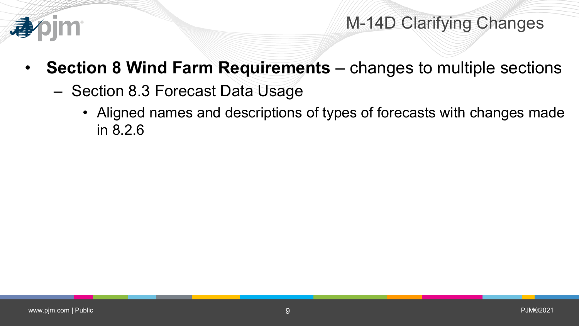

- **Section 8 Wind Farm Requirements**  changes to multiple sections
	- Section 8.3 Forecast Data Usage
		- Aligned names and descriptions of types of forecasts with changes made in 8.2.6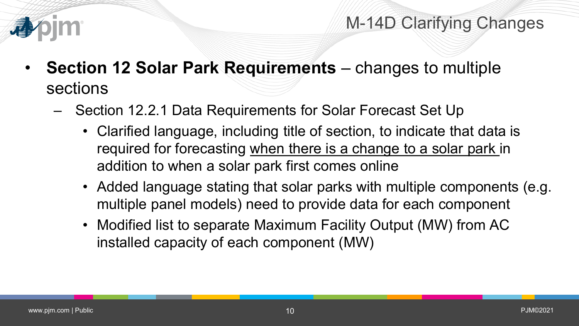

- **Section 12 Solar Park Requirements**  changes to multiple sections
	- Section 12.2.1 Data Requirements for Solar Forecast Set Up
		- Clarified language, including title of section, to indicate that data is required for forecasting when there is a change to a solar park in addition to when a solar park first comes online
		- Added language stating that solar parks with multiple components (e.g. multiple panel models) need to provide data for each component
		- Modified list to separate Maximum Facility Output (MW) from AC installed capacity of each component (MW)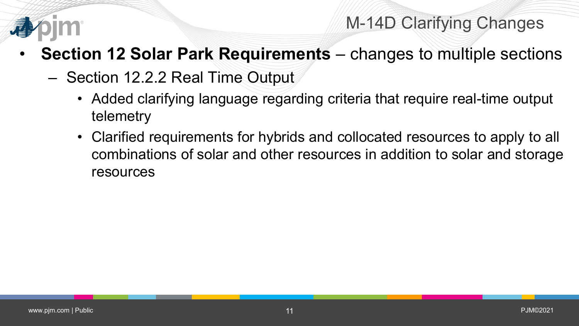

- **Section 12 Solar Park Requirements**  changes to multiple sections
	- Section 12.2.2 Real Time Output
		- Added clarifying language regarding criteria that require real-time output telemetry
		- Clarified requirements for hybrids and collocated resources to apply to all combinations of solar and other resources in addition to solar and storage resources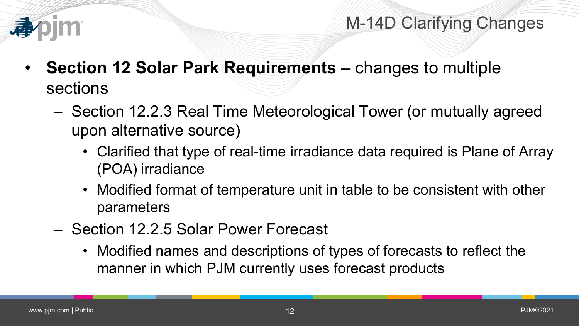

- **Section 12 Solar Park Requirements**  changes to multiple sections
	- Section 12.2.3 Real Time Meteorological Tower (or mutually agreed upon alternative source)
		- Clarified that type of real-time irradiance data required is Plane of Array (POA) irradiance
		- Modified format of temperature unit in table to be consistent with other parameters
	- Section 12.2.5 Solar Power Forecast
		- Modified names and descriptions of types of forecasts to reflect the manner in which PJM currently uses forecast products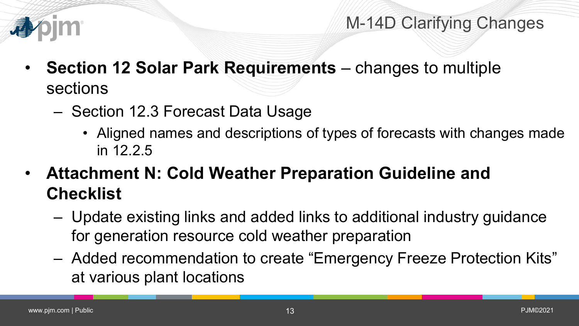

- **Section 12 Solar Park Requirements**  changes to multiple sections
	- Section 12.3 Forecast Data Usage
		- Aligned names and descriptions of types of forecasts with changes made in 12.2.5
- **Attachment N: Cold Weather Preparation Guideline and Checklist**
	- Update existing links and added links to additional industry guidance for generation resource cold weather preparation
	- Added recommendation to create "Emergency Freeze Protection Kits" at various plant locations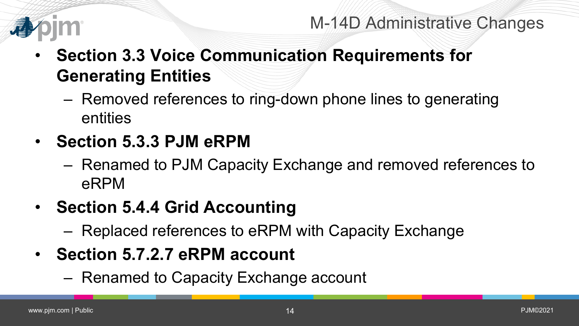

- **Section 3.3 Voice Communication Requirements for Generating Entities**
	- Removed references to ring-down phone lines to generating entities
- **Section 5.3.3 PJM eRPM**
	- Renamed to PJM Capacity Exchange and removed references to eRPM
- **Section 5.4.4 Grid Accounting**
	- Replaced references to eRPM with Capacity Exchange
- **Section 5.7.2.7 eRPM account**
	- Renamed to Capacity Exchange account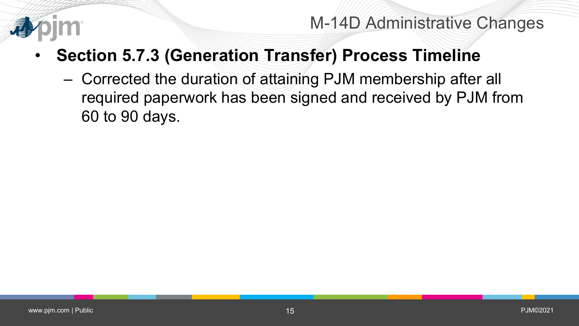

M-14D Administrative Changes

- **Section 5.7.3 (Generation Transfer) Process Timeline**
	- Corrected the duration of attaining PJM membership after all required paperwork has been signed and received by PJM from 60 to 90 days.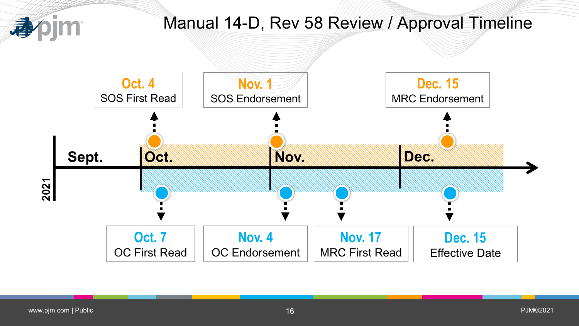